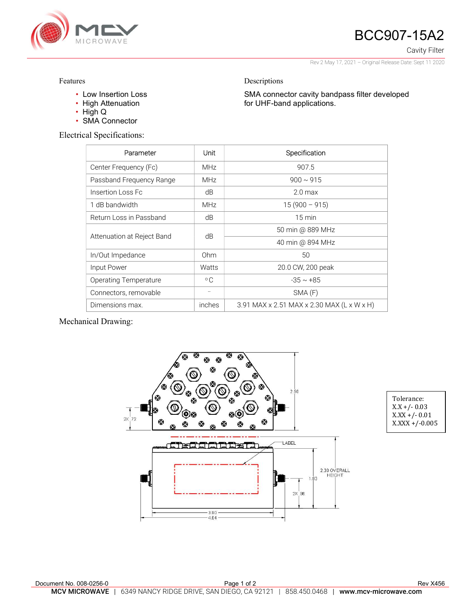

## BCC907-15A2

Cavity Filter

Rev 2 May 17, 2021 – Original Release Date: Sept 11 2020

SMA connector cavity bandpass filter developed

Features

- Low Insertion Loss
- High Attenuation
- High Q
- SMA Connector

Electrical Specifications:

| Parameter                    | Unit         | Specification                              |  |
|------------------------------|--------------|--------------------------------------------|--|
| Center Frequency (Fc)        | <b>MHz</b>   | 907.5                                      |  |
| Passband Frequency Range     | <b>MHz</b>   | $900 \sim 915$                             |  |
| Insertion Loss Fc            | dB           | $2.0$ max                                  |  |
| 1 dB bandwidth               | <b>MHz</b>   | $15(900 - 915)$                            |  |
| Return Loss in Passband      | dB           | $15 \text{ min}$                           |  |
| Attenuation at Reject Band   | dB           | 50 min @ 889 MHz                           |  |
|                              |              | 40 min @ 894 MHz                           |  |
| In/Out Impedance             | Ohm          | 50                                         |  |
| Input Power                  | Watts        | 20.0 CW, 200 peak                          |  |
| <b>Operating Temperature</b> | $^{\circ}$ C | $-35 \sim +85$                             |  |
| Connectors, removable        |              | SMA(F)                                     |  |
| Dimensions max.              | inches       | 3.91 MAX x 2.51 MAX x 2.30 MAX (L x W x H) |  |

Descriptions

for UHF-band applications.

Mechanical Drawing:



| Tolerance:        |  |  |
|-------------------|--|--|
| $X.X + / -0.03$   |  |  |
| $X.XX + / -0.01$  |  |  |
| $X.XXX + (-0.005$ |  |  |

| Document No. 008-0256-0 | Page 1 of 2                                                                                               | <b>Rev X456</b> |
|-------------------------|-----------------------------------------------------------------------------------------------------------|-----------------|
|                         | <b>MCV MICROWAVE</b> 1 6349 NANCY RIDGE DRIVE. SAN DIEGO. CA 92121   858.450.0468   www.mcv-microwave.com |                 |